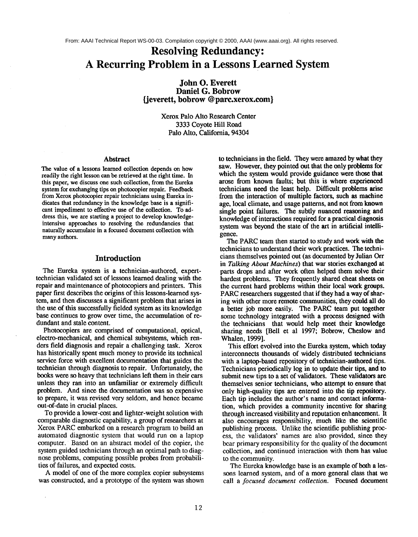# **Resolving Redundancy: A Recurring Problem in a Lessons Learned System**

**John O. Everett Daniel G. Bobrow {jeverett, bobrow @ parc.xerox.com}**

> Xerox Palo Alto Research Center 3333 Coyote Hill Road Palo Alto, California, 94304

#### Abstract

The value of a lessons learned collection depends on how readily the right lesson can be retrieved at the right time. In this paper, we discuss one such collection, from the Eureka system for exchanging tips on photocopier repair. Feedback from Xerox photocopier repair technicians using Eureka indicates that redundancy in the knowledge base is a significant impediment to effective use of the collection. To address this, we are starting a project to develop knowledgeintensive approaches to resolving the redundancies that naturally accumulate in a focused document collection with many authors.

## **Introduction**

The Eureka system is a technician-authored, experttechnician validated set of lessons learned dealing with the repair and maintenance of photocopiers and printers. This paper first describes the origins of this lessons-learned system, and then discusses a significant problem that arises in the use of this successfully fielded system as its knowledge base continues to grow over time, the accumulation of redundant and stale content.

Photocopiers are comprised of computational, optical, electro-mechanical, and chemical subsystems, which renders field diagnosis and repair a challenging task. Xerox has historically spent much money to provide its technical service force with excellent documentation that guides the technician through diagnosis to repair. Unfortunately, the books were so heavy that technicians left them in their cars unless they ran into an unfamiliar or extremely difficult problem. And since the documentation was so expensive to prepare, it was revised very seldom, and hence became out-of-date in crucial places.

To provide a lower-cost and lighter-weight solution with comparable diagnostic capability, a group of researchers at Xerox PARC embarked on a research program to build an automated diagnostic system that would run on a laptop computer. Based on an abstract model of the copier, the system guided technicians through an optimal path to diagnose problems, computing possible probes from probabilities of failures, and expected costs.

A model of one of the more complex copier subsystems was constructed, and a prototype of the system was shown to technicians in the field. They were amazed by what they saw. However, they pointed out that the only problems for which the system would provide guidance were those that arose from known faults; but this is where experienced technicians need the least help. Difficult problems arise from the interaction of multiple factors, such as machine age, local climate, and usage patterns, and not from known single point failures. The subtly nuanced reasoning and knowledge of interactions required for a practical diagnosis system was beyond the state of the art in artificial intelligence.

The PARC team then started to study and work with the technicians to understand their work practices. The technicians themselves pointed out (as documented by Julian Orr in *Talking About Machines)* that war stories exchanged at parts drops and after work often helped them solve their hardest problems. They frequently shared cheat sheets on the current hard problems within their local work groups. PARC researchers suggested that if they had a way of sharing with other more remote communities, they could all do a better job more easily. The PARC team put together some technology integrated with a process designed with the technicians that would help meet their knowledge sharing needs [Bell et al 1997; Bobrow, Cheslow and Whalen, 1999].

This effort evolved into the Eureka system, which today interconnects thousands of widely distributed technicians with a laptop-based repository of technician-authored tips. Technicians periodically log in to update their tips, and to submit new tips to a set of validators. These validators are themselves senior technicians, who attempt to ensure that only high-quality tips are entered into the tip repository. Each tip includes the author's name and contact information, which provides a community incentive for sharing through increased visibility and reputation enhancement. It also encourages responsibility, much like the scientific publishing process. Unlike the scientific publishing process, the validators' names are also provided, since they bear primary responsibility for the quality of the document collection, and continued interaction with them has value to the community.

The Eureka knowledge base is an example of both a lessons learned system, and of a more general class that we call a *focused document collection.* Focused document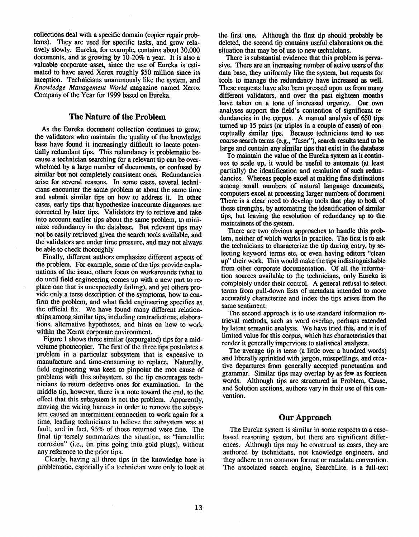collections deal with a specific domain (copier repair problems). They are used for specific tasks, and grow relatively slowly. Eureka, for example, contains about 30,000 documents, and is growing by  $10-20\%$  a year. It is also a valuable corporate asset, since the use of Eureka is estimated to have saved Xerox roughly \$50 million since its inception. Technicians unanimously like the system, and *Knowledge Management World* magazine named Xerox Company of the Year for 1999 based on Eureka.

## The Nature of the Problem

As the Eureka document collection continues to grow, the validators who maintain the quality of the knowledge base have found it increasingly difficult to locate potentially redundant tips. This redundancy is problematic because a technician searching for a relevant tip can be overwhelmed by a large number of documents, or confused by similar but not completely consistent ones. Redundancies arise for several reasons. In some eases, several technicians encounter the same problem at about the same time and submit similar tips on how to address it. In other cases, early tips that hypothesize inaccurate diagnoses are corrected by later tips. Validators try to retrieve and take into account earlier tips about the same problem, to minimize redundancy in the database. But relevant tips may not be easily retrieved given the search tools available, and the validators are under time pressure, and may not always be able to check thoroughly

Finally, different authors emphasize different aspects of the problem. For example, some of the tips provide explanations of the issue, others focus on workarounds (what to do until field engineering comes up with a new part to replace one that is unexpectedly failing), and yet others provide only a terse description of the symptoms, how to confirm the problem, and what field engineering specifies as the official fix. We have found many different relationships among similar tips; including contradictions, elaborations, alternative hypotheses, and hints on how to work within the Xerox corporate environment.

Figure 1 shows three similar (expurgated) tips for a midvolume photocopier. The first of the three tips postulates a problem in a particular subsystem that is expensive to manufacture and time-consuming to replace. Naturally, field engineering was keen to pinpoint the root cause of problems with this subsystem, so the tip encourages technicians to return defective ones for examination. In the middle tip, however, there is a note toward the end, to the effect that this subsystem is not the problem. Apparently, moving the wiring harness in order to remove the subsystem caused an intermittent connection to work again for a time, leading technicians to believe the subsystem was at fault, and in fact, 95% of those returned were fine. The final tip tersely summarizes the situation, as "bimetallic corrosion" (i.e., tin pins going into gold plugs), without any reference to the prior tips.

Clearly, having all three tips in the knowledge base is problematic, especially if a technician were only to look at the first one. Although the first tip should probably be deleted, the second tip contains useful elaborations on the situation that may be of use to new technicians.

There is substantial evidence that this problem is pervasive. There are an increasing number of active users of the data base, they uniformly like the system, but requests for tools to manage the redundancy have increased as well. These requests have also been pressed upon us from many different validators, and over the past eighteen months have taken on a tone of increased urgency. Our own analyses support the field's contention of significant redundancies in the corpus. A manual analysis of 650 tips turned up 15 pairs (or triples in a couple of eases) of conceptually similar tips; Because technicians tend to use coarse search terms (e.g., "fuser"), search results tend to be large and contain any similar tips that exist in the database

To maintain the value of the Eureka system as it continues to scale up, it would be useful to automate (at least partially) the identification and resolution of such redundancies. Whereas people excel at making fine distinctions among small numbers of natural language documents, computers excel at processing larger numbers of document There is a clear need to develop tools that play to both of these strengths, by automating the identification of similar tips, but leaving the resolution of redundancy up to the maintainers of the system.

There are two obvious approaches to handle this problem, neither of which works in practice. The first is to ask the technicians to characterize the tip during entry, by selecting keyword terms etc, or even having editors "clean up" their work. This would make the tips indistinguishable from other corporate documentation. Of all the information sources available to the technicians, only Eureka is completely under their control. A general refusal to select terms from pull-down lists of metadata intended to more accurately characterize and index the tips arises from the same sentiment.

The second approach is to use standard information retrieval methods, such as word overlap, perhaps extended by latent semantic analysis. We have tried this, and it is of limited value for this corpus, which has characteristics that render it generally impervious to statistical analyses.

The average tip is terse (a little over a hundred words) and liberally sprinkled with jargon, misspellings, and creative departures from generally accepted punctuation and grammar. Similar tips may overlap by as few as fourteen words. Although tips are structured in Problem, Cause, and Solution sections, authors vary in their use of this convention.

#### Our Approach

The Eureka system is similar in some respects to a casebased reasoning system, but there are significant differences. Although tips may be construed as cases, they are authored by technicians, not knowledge engineers, and they adhere to no common format or metadata convention. The associated search engine, SearchLite, is a full-text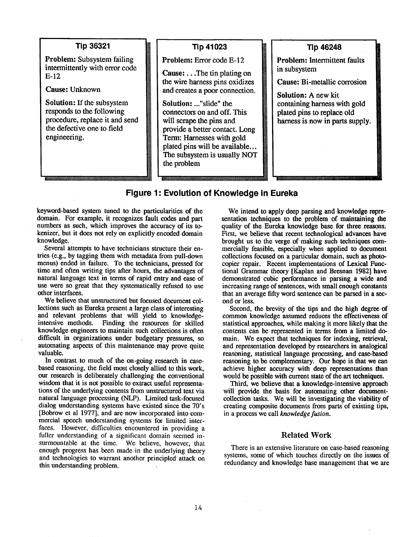## **Tip 36321**

Problem: Subsystem failing intermittently with error code E-12

Cause: Unknown

Solution: If the subsystem responds to the following procedure, replace it and send l~ the defective one to field<br>engineering.

# **Tip 41023**

L

M

Problem: Error code E-12

**Cause:** ...The tin plating on the wire harness pins oxidizes and creates a poor connection.

2Z\_\_\_\_J Solution: ..."slide" the connectors on and off. This [I will scrape the pins and provide a better contact. Long Term: Harnesses with gold [! plated pins will be available... The subsystem is usually NOT **Tip 46248 l**

Problem: Intermittent faults in subsystem

Cause: Bi-metallic corrosion

Solution: A new kit containing harness with gold plated pins to replace old harness is now in parts supply.

# **Figure 1: Evolution of Knowledge in Eureka**

keyword-based system tuned to the particularities of the domain. For example, it recognizes fault codes and part numbers as such, which improves the accuracy of its tokenizer, but it does not rely on explicitly encoded domain knowledge.

Several attempts to have technicians structure their entries (e.g., by tagging them with metadata from pull-down menus) ended in failure. To the technicians, pressed for time and often writing tips after hours, the advantages of natural language text in terms of rapid entry and ease of use were so great that they systematically refused to use other interfaces.

We believe that unstructured but focused document collections such as Eureka present a large class of interesting and relevant problems that will yield to knowledgeintensive methods. Finding the resources for skilled knowledge engineers to maintain such collections is often difficult in organizations under budgetary pressures, so automating aspects of this maintenance may prove quite valuable.

In contrast to much of the on-going research in casebased reasoning, the field most closely allied to this work, our research is deliberately challenging the conventional wisdom that it is not possible to extract useful representations of the underlying contents from unstructured text via natural language processing (NLP). Limited task-focused dialog understanding systems have existed since the 70's [Bobrow et al 1977], and are now incorporated into commercial speech understanding systems for limited interfaces. However, difficulties encountered in providing a fuller understanding of a significant domain seemed insurmountable at the time. We believe, however, that enough progress has been made in the underlying theory and technologies to warrant another principled attack on this understanding problem.

We intend to apply deep parsing and knowledge representation techniques to the problem of maintaining the quality of the Eureka knowledge base for three reasons. First, we believe that recent technological advances have brought us to the verge of making such techniques commercially feasible, especially when applied to document collections focused on a particular domain, such as photocopier repair. Recent implementations of Lexieal Functional Grammar theory [Kaplan and Bresnan 1982] have demonstrated cubic performance in parsing a wide and increasing range of sentences, with small enough constants that an average fifty word sentence can be parsed in a seeond or less.

Second, the brevity of the tips and the high degree of common knowledge assumed reduces the effectiveness of statistical approaches, while making it more likely that the contents can be represented in terms from a limited domain. We expect that techniques for indexing, retrieval, and representation developed by researchers in analogical reasoning, statistical language processing, and ease-based reasoning to be complementary. Our hope is that we can achieve higher accuracy with deep representations than would be possible with current state of the art techniques.

Third, we believe that a knowledge-intensive approach will provide the basis for automating other documentcollection tasks. We will be investigating the viability of creating composite documents from parts' of existing tips, in a process we call *knowledge fusion.*

## Related Work

There is an extensive literature on case-based reasoning systems, some of which touches directly on the issues of redundancy and knowledge base management that we are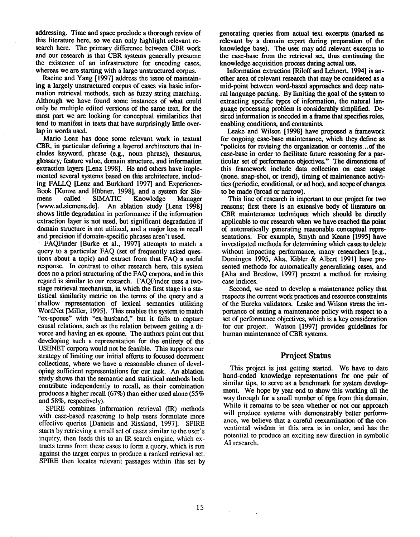addressing. Time and space preclude a thorough review of this literature here, so we can only highlight relevant research here. The primary difference between CBR work and our research is that CBR systems generally presume the existence of an infrastructure for encoding cases, whereas we are starting with a large unstructured corpus.

Racine and Yang [1997] address the issue of maintaining a largely unstructured corpus of cases via basic information retrieval methods, such as fuzzy string matching. Although we have found some instances of what could only be multiple edited versions of the same text, for the most part we are looking for conceptual similarities that tend to manifest in texts that have surprisingly little overlap in words used.

Mario Lenz has done some relevant work in textual CBR, in particular defining a layered architecture that ineludes keyword, phrase (e.g., noun phrase), thesaurus, glossary, feature value, domain structure, and information extraction layers [Lenz 1998]. He and others have implemented several systems based on this architecture, including FAIIQ [Lenz and Burkhard 1997] and Experience-Book [Kunze and Hiibner, 1998], and a system for Siemens called SIMATIC Knowledge Manager [www.ad.siemens.de]. An ablation study [Lenz 1998] shows little degradation in performance if the information extraction layer is not used, but significant degradation if domain structure is not utilized, and a major loss in recall and precision if domain-specific phrases aren't used.

¯ FAQFinder [Burke et al., 1997] attempts to match a query to a particular FAQ (set of frequently asked questions about a topic) and extract from that FAQ a useful response. In contrast to other research here, this system does no a priori structuring of the FAQ corpora, and in this regard is similar to our research. FAQFinder uses a twostage retrieval mechanism, inwhich the first stage is a statistical similarity metric on the terms of the query and a shallow representation of lexical semantics utilizing WordNet [Miller, 1995]. This enables the system to match "ex-spouse" with "ex-husband," but it fails to capture causal relations, such as the relation between getting a divorce and having an ex-spouse. The authors point out that developing such a representation for the entirety of the USENET corpora would not be feasible. This supports our strategy of limiting our initial efforts to focused document collections, where we have a reasonable chance of developing sufficient representations for our task. An ablation study shows that the semantic and statistical methods both contribute independently to recall, as their combination produces a higher recall (67%) than either used alone (55% and 58%, respectively).

SPIRE combines information retrieval (IR) methods with case-based reasoning to help users formulate more effective queries [Daniels and Rissland, 1997]. SPIRE starts by retrieving a small set of cases similar to the user's inquiry, then feeds this to an IR search engine, which extracts terms from these cases to form a query, which is run against the target corpus to produce a ranked retrieval set. SPIRE then locates relevant passages within this set by

generating queries from actual text excerpts (marked as relevant by a domain expert during preparation of the knowledge base). The user may add relevant excerpts to the ease-base from the retrieval set, thus continuing the knowledge acquisition process during actual use.

Information extraction [Riloff and Lehnert, 1994] is another area of relevant research that may be considered as a mid-point between word-based approaches and deep natural language parsing. By limiting the goal of the system to extracting specific types of information, the natural language processing problem is considerably simplified. Desired information is encoded in a frame that specifies roles, enabling conditions, and constraints.

Leake and Wilson [1998] have proposed a framework for ongoing case-base maintenance, which they define as "policies for revising the organization or contents...of the ease-base in order to facilitate future reasoning for a particular set of performance objectives." The dimensions of this framework include data collection on ease usage (none, snap-shot, or trend), timing of maintenance activities (periodic, conditional, or ad hoe), and scope of changes to be made (broad or narrow).

This line of research is important to our project for two reasons; first there is an extensive body of literature on CBR maintenance techniques which should be directly applicable to our research when we have reached the point of automatically generating reasonable conceptual representations. For example, Smyth and Keane [1995] have investigated methods for determining which cases to delete without impacting performance, many researchers [e.g., Domingos 1995, Aha, Kibler & Albert 1991] have presented methods for automatically generalizing cases, and [Aha and Breslow, 1997] present a method for revising case indices.

Second, we need to develop a maintenance policy that respects the current work practices and resource constraints Of the Eureka validators. Leake and Wilson stress the importance of setting a maintenance policy with respect to a set of performance objectives, which is a key consideration for our project. Watson [1997] provides guidelines for human maintenance of CBR systems.

# **Project Status**

This project is just getting started. We have to date hand-coded knowledge representations for one pair of similar tips, to serve as a benchmark for system development. We hope by year-end to show this working all the way through for a small number of tips from this domain. While it remains to be seen whether or not our approach will produce systems with demonstrably better performance, we believe that a careful reexamination of the convcntional wisdom in this area is in order, and has the potential to produce an exciting new direction in symbolic AI research.

 $\sim 10^7$